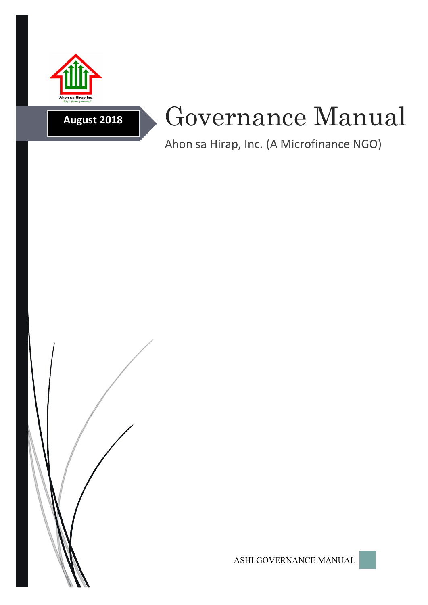

**August 2018**

# Governance Manual

Ahon sa Hirap, Inc. (A Microfinance NGO)



ASHI GOVERNANCE MANUAL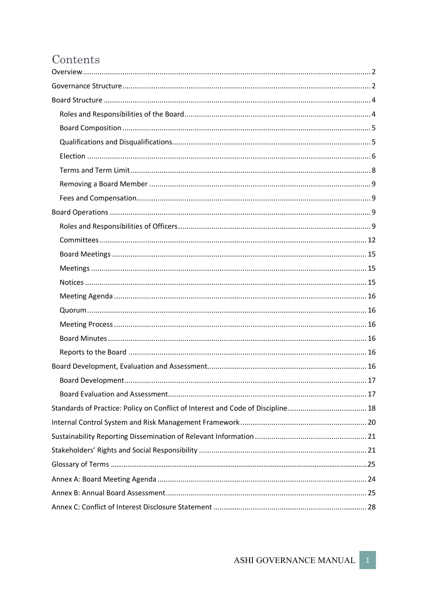# Contents

| Standards of Practice: Policy on Conflict of Interest and Code of Discipline 18 |
|---------------------------------------------------------------------------------|
|                                                                                 |
|                                                                                 |
|                                                                                 |
|                                                                                 |
|                                                                                 |
|                                                                                 |
|                                                                                 |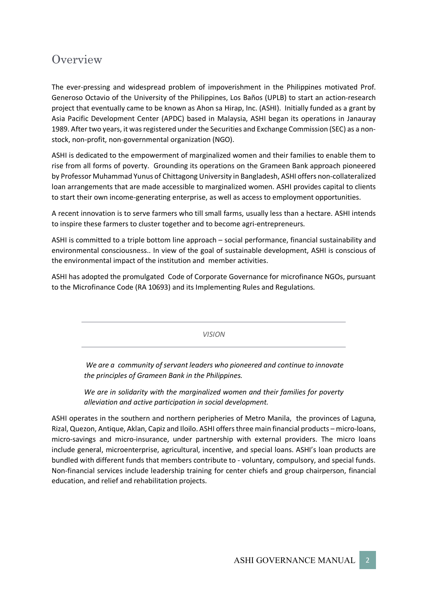# **Overview**

The ever-pressing and widespread problem of impoverishment in the Philippines motivated Prof. Generoso Octavio of the University of the Philippines, Los Baños (UPLB) to start an action-research project that eventually came to be known as Ahon sa Hirap, Inc. (ASHI). Initially funded as a grant by Asia Pacific Development Center (APDC) based in Malaysia, ASHI began its operations in Janauray 1989. After two years, it was registered under the Securities and Exchange Commission (SEC) as a nonstock, non-profit, non-governmental organization (NGO).

ASHI is dedicated to the empowerment of marginalized women and their families to enable them to rise from all forms of poverty. Grounding its operations on the Grameen Bank approach pioneered by Professor Muhammad Yunus of Chittagong University in Bangladesh, ASHI offers non-collateralized loan arrangements that are made accessible to marginalized women. ASHI provides capital to clients to start their own income-generating enterprise, as well as access to employment opportunities.

A recent innovation is to serve farmers who till small farms, usually less than a hectare. ASHI intends to inspire these farmers to cluster together and to become agri-entrepreneurs.

ASHI is committed to a triple bottom line approach – social performance, financial sustainability and environmental consciousness.. In view of the goal of sustainable development, ASHI is conscious of the environmental impact of the institution and member activities.

ASHI has adopted the promulgated Code of Corporate Governance for microfinance NGOs, pursuant to the Microfinance Code (RA 10693) and its Implementing Rules and Regulations.

*VISION*

*We are a community of servant leaders who pioneered and continue to innovate the principles of Grameen Bank in the Philippines.*

*We are in solidarity with the marginalized women and their families for poverty alleviation and active participation in social development.*

ASHI operates in the southern and northern peripheries of Metro Manila, the provinces of Laguna, Rizal, Quezon, Antique, Aklan, Capiz and Iloilo. ASHI offers three main financial products – micro-loans, micro-savings and micro-insurance, under partnership with external providers. The micro loans include general, microenterprise, agricultural, incentive, and special loans. ASHI's loan products are bundled with different funds that members contribute to - voluntary, compulsory, and special funds. Non-financial services include leadership training for center chiefs and group chairperson, financial education, and relief and rehabilitation projects.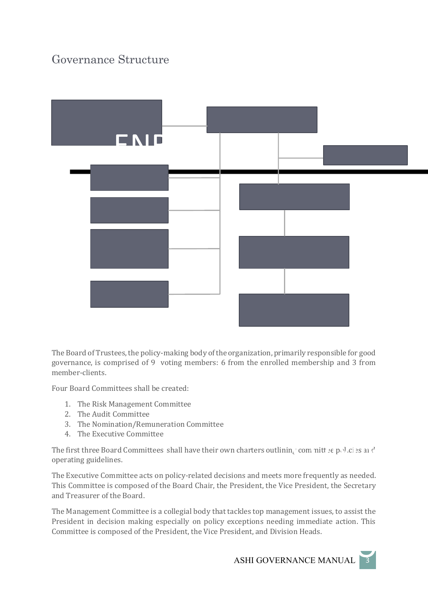# Governance Structure



The Board of Trustees, the policy-making body of the organization, primarily responsible for good governance, is comprised of 9 voting members: 6 from the enrolled membership and 3 from member-clients.

Four Board Committees shall be created:

- 1. The Risk Management Committee
- 2. The Audit Committee
- 3. The Nomination/Remuneration Committee
- 4. The Executive Committee

The first three Board Committees shall have their own charters outlining committee  $p_0$  of es and operating guidelines.  $\mathbf{a}_\epsilon$ ' committ e p $\mathbf{b}$ U.ci es an  $\mathbf{c}^\prime$ 

The Executive Committee acts on policy-related decisions and meets more frequently as needed. This Committee is composed of the Board Chair, the President, the Vice President, the Secretary and Treasurer of the Board.

The Management Committee is a collegial body that tackles top management issues, to assist the President in decision making especially on policy exceptions needing immediate action. This Committee is composed of the President, the Vice President, and Division Heads.

ndent, and Division Heads.<br>ASHI GOVERNANCE MANUAL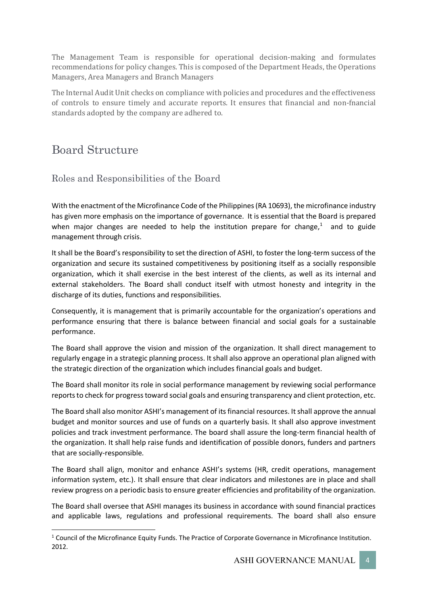The Management Team is responsible for operational decision-making and formulates recommendations for policy changes. This is composed of the Department Heads, the Operations Managers, Area Managers and Branch Managers

The Internal Audit Unit checks on compliance with policies and procedures and the effectiveness of controls to ensure timely and accurate reports. It ensures that financial and non-fnancial standards adopted by the company are adhered to.

# Board Structure

# Roles and Responsibilities of the Board

With the enactment of the Microfinance Code of the Philippines (RA 10693), the microfinance industry has given more emphasis on the importance of governance. It is essential that the Board is prepared when major changes are needed to help the institution prepare for change, $1$  and to guide management through crisis.

It shall be the Board's responsibility to set the direction of ASHI, to foster the long-term success of the organization and secure its sustained competitiveness by positioning itself as a socially responsible organization, which it shall exercise in the best interest of the clients, as well as its internal and external stakeholders. The Board shall conduct itself with utmost honesty and integrity in the discharge of its duties, functions and responsibilities.

Consequently, it is management that is primarily accountable for the organization's operations and performance ensuring that there is balance between financial and social goals for a sustainable performance.

The Board shall approve the vision and mission of the organization. It shall direct management to regularly engage in a strategic planning process. It shall also approve an operational plan aligned with the strategic direction of the organization which includes financial goals and budget.

The Board shall monitor its role in social performance management by reviewing social performance reports to check for progress toward social goals and ensuring transparency and client protection, etc.

The Board shall also monitor ASHI's management of its financial resources. It shall approve the annual budget and monitor sources and use of funds on a quarterly basis. It shall also approve investment policies and track investment performance. The board shall assure the long-term financial health of the organization. It shall help raise funds and identification of possible donors, funders and partners that are socially-responsible.

The Board shall align, monitor and enhance ASHI's systems (HR, credit operations, management information system, etc.). It shall ensure that clear indicators and milestones are in place and shall review progress on a periodic basisto ensure greater efficiencies and profitability of the organization.

The Board shall oversee that ASHI manages its business in accordance with sound financial practices and applicable laws, regulations and professional requirements. The board shall also ensure

 <sup>1</sup> Council of the Microfinance Equity Funds. The Practice of Corporate Governance in Microfinance Institution. 2012.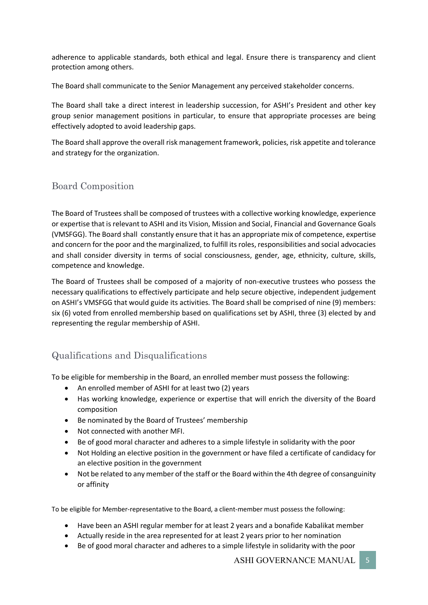adherence to applicable standards, both ethical and legal. Ensure there is transparency and client protection among others.

The Board shall communicate to the Senior Management any perceived stakeholder concerns.

The Board shall take a direct interest in leadership succession, for ASHI's President and other key group senior management positions in particular, to ensure that appropriate processes are being effectively adopted to avoid leadership gaps.

The Board shall approve the overall risk management framework, policies, risk appetite and tolerance and strategy for the organization.

# Board Composition

The Board of Trustees shall be composed of trustees with a collective working knowledge, experience or expertise that is relevant to ASHI and its Vision, Mission and Social, Financial and Governance Goals (VMSFGG). The Board shall constantly ensure that it has an appropriate mix of competence, expertise and concern for the poor and the marginalized, to fulfill its roles, responsibilities and social advocacies and shall consider diversity in terms of social consciousness, gender, age, ethnicity, culture, skills, competence and knowledge.

The Board of Trustees shall be composed of a majority of non-executive trustees who possess the necessary qualifications to effectively participate and help secure objective, independent judgement on ASHI's VMSFGG that would guide its activities. The Board shall be comprised of nine (9) members: six (6) voted from enrolled membership based on qualifications set by ASHI, three (3) elected by and representing the regular membership of ASHI.

# Qualifications and Disqualifications

To be eligible for membership in the Board, an enrolled member must possess the following:

- An enrolled member of ASHI for at least two (2) years
- Has working knowledge, experience or expertise that will enrich the diversity of the Board composition
- Be nominated by the Board of Trustees' membership
- Not connected with another MFI.
- Be of good moral character and adheres to a simple lifestyle in solidarity with the poor
- Not Holding an elective position in the government or have filed a certificate of candidacy for an elective position in the government
- Not be related to any member of the staff or the Board within the 4th degree of consanguinity or affinity

To be eligible for Member-representative to the Board, a client-member must possess the following:

- Have been an ASHI regular member for at least 2 years and a bonafide Kabalikat member
- Actually reside in the area represented for at least 2 years prior to her nomination
- Be of good moral character and adheres to a simple lifestyle in solidarity with the poor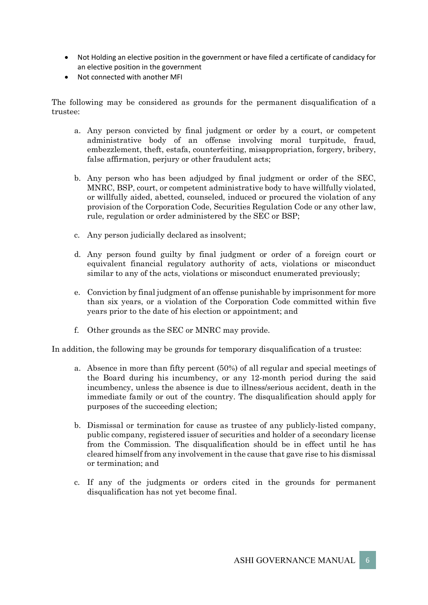- Not Holding an elective position in the government or have filed a certificate of candidacy for an elective position in the government
- Not connected with another MFI

The following may be considered as grounds for the permanent disqualification of a trustee:

- a. Any person convicted by final judgment or order by a court, or competent administrative body of an offense involving moral turpitude, fraud, embezzlement, theft, estafa, counterfeiting, misappropriation, forgery, bribery, false affirmation, perjury or other fraudulent acts;
- b. Any person who has been adjudged by final judgment or order of the SEC, MNRC, BSP, court, or competent administrative body to have willfully violated, or willfully aided, abetted, counseled, induced or procured the violation of any provision of the Corporation Code, Securities Regulation Code or any other law, rule, regulation or order administered by the SEC or BSP;
- c. Any person judicially declared as insolvent;
- d. Any person found guilty by final judgment or order of a foreign court or equivalent financial regulatory authority of acts, violations or misconduct similar to any of the acts, violations or misconduct enumerated previously;
- e. Conviction by final judgment of an offense punishable by imprisonment for more than six years, or a violation of the Corporation Code committed within five years prior to the date of his election or appointment; and
- f. Other grounds as the SEC or MNRC may provide.

In addition, the following may be grounds for temporary disqualification of a trustee:

- a. Absence in more than fifty percent (50%) of all regular and special meetings of the Board during his incumbency, or any 12-month period during the said incumbency, unless the absence is due to illness/serious accident, death in the immediate family or out of the country. The disqualification should apply for purposes of the succeeding election;
- b. Dismissal or termination for cause as trustee of any publicly-listed company, public company, registered issuer of securities and holder of a secondary license from the Commission. The disqualification should be in effect until he has cleared himself from any involvement in the cause that gave rise to his dismissal or termination; and
- c. If any of the judgments or orders cited in the grounds for permanent disqualification has not yet become final.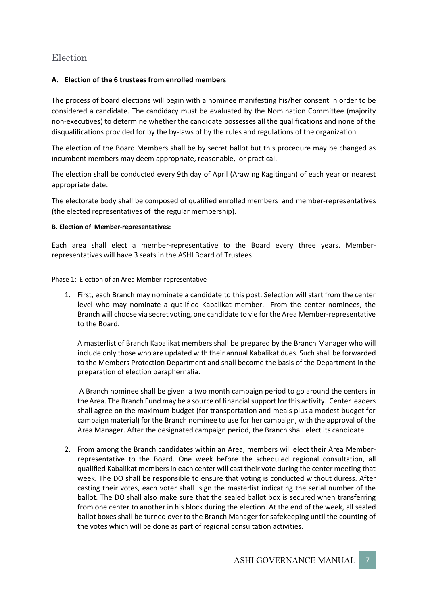# Election

## **A. Election of the 6 trustees from enrolled members**

The process of board elections will begin with a nominee manifesting his/her consent in order to be considered a candidate. The candidacy must be evaluated by the Nomination Committee (majority non-executives) to determine whether the candidate possesses all the qualifications and none of the disqualifications provided for by the by-laws of by the rules and regulations of the organization.

The election of the Board Members shall be by secret ballot but this procedure may be changed as incumbent members may deem appropriate, reasonable, or practical.

The election shall be conducted every 9th day of April (Araw ng Kagitingan) of each year or nearest appropriate date.

The electorate body shall be composed of qualified enrolled members and member-representatives (the elected representatives of the regular membership).

#### **B. Election of Member-representatives:**

Each area shall elect a member-representative to the Board every three years. Memberrepresentatives will have 3 seats in the ASHI Board of Trustees.

Phase 1: Election of an Area Member-representative

1. First, each Branch may nominate a candidate to this post. Selection will start from the center level who may nominate a qualified Kabalikat member. From the center nominees, the Branch will choose via secret voting, one candidate to vie for the Area Member-representative to the Board.

A masterlist of Branch Kabalikat members shall be prepared by the Branch Manager who will include only those who are updated with their annual Kabalikat dues. Such shall be forwarded to the Members Protection Department and shall become the basis of the Department in the preparation of election paraphernalia.

A Branch nominee shall be given a two month campaign period to go around the centers in the Area. The Branch Fund may be a source of financial support for this activity. Center leaders shall agree on the maximum budget (for transportation and meals plus a modest budget for campaign material) for the Branch nominee to use for her campaign, with the approval of the Area Manager. After the designated campaign period, the Branch shall elect its candidate.

2. From among the Branch candidates within an Area, members will elect their Area Memberrepresentative to the Board. One week before the scheduled regional consultation, all qualified Kabalikat members in each center will cast their vote during the center meeting that week. The DO shall be responsible to ensure that voting is conducted without duress. After casting their votes, each voter shall sign the masterlist indicating the serial number of the ballot. The DO shall also make sure that the sealed ballot box is secured when transferring from one center to another in his block during the election. At the end of the week, all sealed ballot boxes shall be turned over to the Branch Manager for safekeeping until the counting of the votes which will be done as part of regional consultation activities.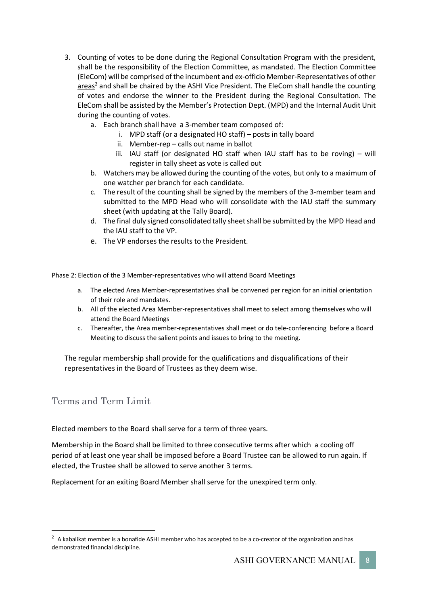- 3. Counting of votes to be done during the Regional Consultation Program with the president, shall be the responsibility of the Election Committee, as mandated. The Election Committee (EleCom) will be comprised of the incumbent and ex-officio Member-Representatives of other areas<sup>2</sup> and shall be chaired by the ASHI Vice President. The EleCom shall handle the counting of votes and endorse the winner to the President during the Regional Consultation. The EleCom shall be assisted by the Member's Protection Dept. (MPD) and the Internal Audit Unit during the counting of votes.
	- a. Each branch shall have a 3-member team composed of:
		- i. MPD staff (or a designated HO staff) posts in tally board
		- ii. Member-rep calls out name in ballot
		- iii. IAU staff (or designated HO staff when IAU staff has to be roving) will register in tally sheet as vote is called out
	- b. Watchers may be allowed during the counting of the votes, but only to a maximum of one watcher per branch for each candidate.
	- c. The result of the counting shall be signed by the members of the 3-member team and submitted to the MPD Head who will consolidate with the IAU staff the summary sheet (with updating at the Tally Board).
	- d. The final duly signed consolidated tally sheet shall be submitted by the MPD Head and the IAU staff to the VP.
	- e. The VP endorses the results to the President.

Phase 2: Election of the 3 Member-representatives who will attend Board Meetings

- a. The elected Area Member-representatives shall be convened per region for an initial orientation of their role and mandates.
- b. All of the elected Area Member-representatives shall meet to select among themselves who will attend the Board Meetings
- c. Thereafter, the Area member-representatives shall meet or do tele-conferencing before a Board Meeting to discuss the salient points and issues to bring to the meeting.

The regular membership shall provide for the qualifications and disqualifications of their representatives in the Board of Trustees as they deem wise.

# Terms and Term Limit

Elected members to the Board shall serve for a term of three years.

Membership in the Board shall be limited to three consecutive terms after which a cooling off period of at least one year shall be imposed before a Board Trustee can be allowed to run again. If elected, the Trustee shall be allowed to serve another 3 terms.

Replacement for an exiting Board Member shall serve for the unexpired term only.

 $\overline{2}$ <sup>2</sup> A kabalikat member is a bonafide ASHI member who has accepted to be a co-creator of the organization and has demonstrated financial discipline.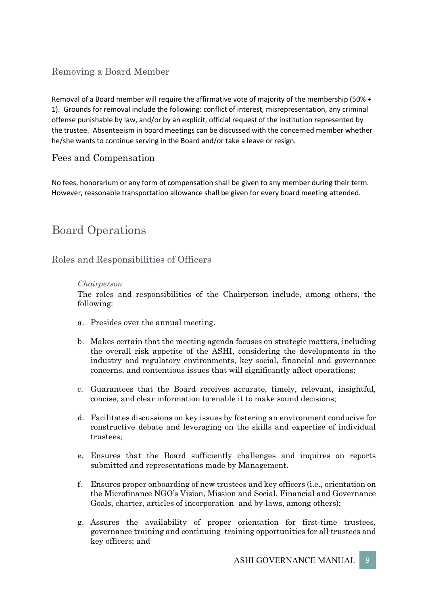# Removing a Board Member

Removal of a Board member will require the affirmative vote of majority of the membership (50% + 1). Grounds for removal include the following: conflict of interest, misrepresentation, any criminal offense punishable by law, and/or by an explicit, official request of the institution represented by the trustee. Absenteeism in board meetings can be discussed with the concerned member whether he/she wants to continue serving in the Board and/or take a leave or resign.

# Fees and Compensation

No fees, honorarium or any form of compensation shall be given to any member during their term. However, reasonable transportation allowance shall be given for every board meeting attended.

# Board Operations

Roles and Responsibilities of Officers

# *Chairperson*

The roles and responsibilities of the Chairperson include, among others, the following:

- a. Presides over the annual meeting.
- b. Makes certain that the meeting agenda focuses on strategic matters, including the overall risk appetite of the ASHI, considering the developments in the industry and regulatory environments, key social, financial and governance concerns, and contentious issues that will significantly affect operations;
- c. Guarantees that the Board receives accurate, timely, relevant, insightful, concise, and clear information to enable it to make sound decisions;
- d. Facilitates discussions on key issues by fostering an environment conducive for constructive debate and leveraging on the skills and expertise of individual trustees;
- e. Ensures that the Board sufficiently challenges and inquires on reports submitted and representations made by Management.
- f. Ensures proper onboarding of new trustees and key officers (i.e., orientation on the Microfinance NGO's Vision, Mission and Social, Financial and Governance Goals, charter, articles of incorporation and by-laws, among others);
- g. Assures the availability of proper orientation for first-time trustees, governance training and continuing training opportunities for all trustees and key officers; and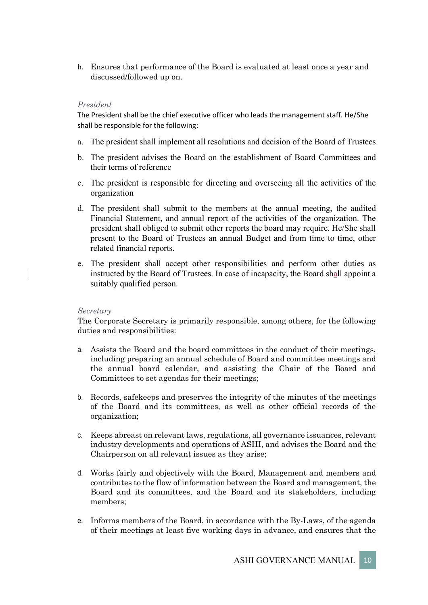h. Ensures that performance of the Board is evaluated at least once a year and discussed/followed up on.

#### *President*

The President shall be the chief executive officer who leads the management staff. He/She shall be responsible for the following:

- a. The president shall implement all resolutions and decision of the Board of Trustees
- b. The president advises the Board on the establishment of Board Committees and their terms of reference
- c. The president is responsible for directing and overseeing all the activities of the organization
- d. The president shall submit to the members at the annual meeting, the audited Financial Statement, and annual report of the activities of the organization. The president shall obliged to submit other reports the board may require. He/She shall present to the Board of Trustees an annual Budget and from time to time, other related financial reports.
- e. The president shall accept other responsibilities and perform other duties as instructed by the Board of Trustees. In case of incapacity, the Board shall appoint a suitably qualified person.

#### *Secretary*

The Corporate Secretary is primarily responsible, among others, for the following duties and responsibilities:

- a. Assists the Board and the board committees in the conduct of their meetings, including preparing an annual schedule of Board and committee meetings and the annual board calendar, and assisting the Chair of the Board and Committees to set agendas for their meetings;
- b. Records, safekeeps and preserves the integrity of the minutes of the meetings of the Board and its committees, as well as other official records of the organization;
- c. Keeps abreast on relevant laws, regulations, all governance issuances, relevant industry developments and operations of ASHI, and advises the Board and the Chairperson on all relevant issues as they arise;
- d. Works fairly and objectively with the Board, Management and members and contributes to the flow of information between the Board and management, the Board and its committees, and the Board and its stakeholders, including members;
- e. Informs members of the Board, in accordance with the By-Laws, of the agenda of their meetings at least five working days in advance, and ensures that the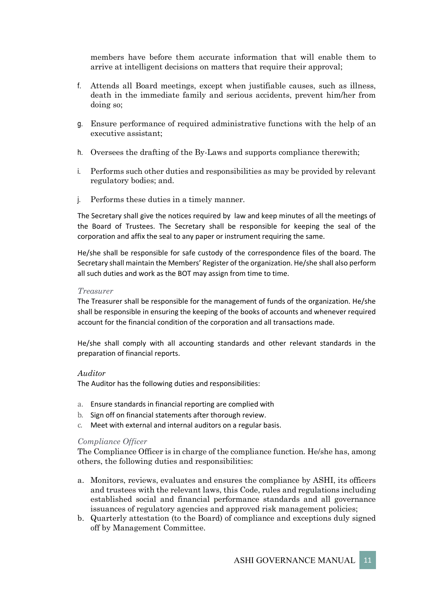members have before them accurate information that will enable them to arrive at intelligent decisions on matters that require their approval;

- f. Attends all Board meetings, except when justifiable causes, such as illness, death in the immediate family and serious accidents, prevent him/her from doing so;
- g. Ensure performance of required administrative functions with the help of an executive assistant;
- h. Oversees the drafting of the By-Laws and supports compliance therewith;
- i. Performs such other duties and responsibilities as may be provided by relevant regulatory bodies; and.
- j. Performs these duties in a timely manner.

The Secretary shall give the notices required by law and keep minutes of all the meetings of the Board of Trustees. The Secretary shall be responsible for keeping the seal of the corporation and affix the seal to any paper or instrument requiring the same.

He/she shall be responsible for safe custody of the correspondence files of the board. The Secretary shall maintain the Members' Register of the organization. He/she shall also perform all such duties and work as the BOT may assign from time to time.

#### *Treasurer*

The Treasurer shall be responsible for the management of funds of the organization. He/she shall be responsible in ensuring the keeping of the books of accounts and whenever required account for the financial condition of the corporation and all transactions made.

He/she shall comply with all accounting standards and other relevant standards in the preparation of financial reports.

#### *Auditor*

The Auditor has the following duties and responsibilities:

- a. Ensure standards in financial reporting are complied with
- b. Sign off on financial statements after thorough review.
- c. Meet with external and internal auditors on a regular basis.

#### *Compliance Officer*

The Compliance Officer is in charge of the compliance function. He/she has, among others, the following duties and responsibilities:

- a. Monitors, reviews, evaluates and ensures the compliance by ASHI, its officers and trustees with the relevant laws, this Code, rules and regulations including established social and financial performance standards and all governance issuances of regulatory agencies and approved risk management policies;
- b. Quarterly attestation (to the Board) of compliance and exceptions duly signed off by Management Committee.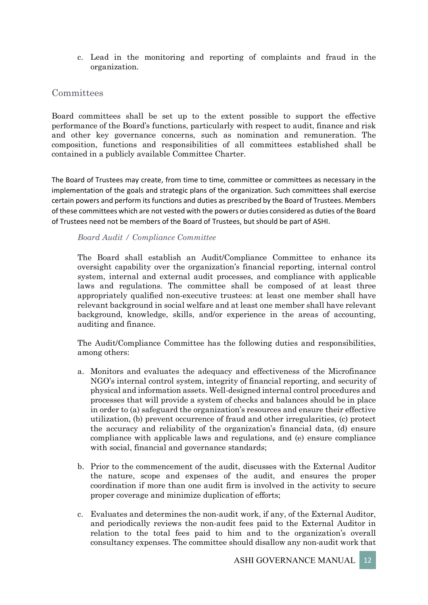c. Lead in the monitoring and reporting of complaints and fraud in the organization.

# **Committees**

Board committees shall be set up to the extent possible to support the effective performance of the Board's functions, particularly with respect to audit, finance and risk and other key governance concerns, such as nomination and remuneration. The composition, functions and responsibilities of all committees established shall be contained in a publicly available Committee Charter.

The Board of Trustees may create, from time to time, committee or committees as necessary in the implementation of the goals and strategic plans of the organization. Such committees shall exercise certain powers and perform its functions and duties as prescribed by the Board of Trustees. Members of these committees which are not vested with the powers or duties considered as duties of the Board of Trustees need not be members of the Board of Trustees, but should be part of ASHI.

## *Board Audit / Compliance Committee*

The Board shall establish an Audit/Compliance Committee to enhance its oversight capability over the organization's financial reporting, internal control system, internal and external audit processes, and compliance with applicable laws and regulations. The committee shall be composed of at least three appropriately qualified non-executive trustees: at least one member shall have relevant background in social welfare and at least one member shall have relevant background, knowledge, skills, and/or experience in the areas of accounting, auditing and finance.

The Audit/Compliance Committee has the following duties and responsibilities, among others:

- a. Monitors and evaluates the adequacy and effectiveness of the Microfinance NGO's internal control system, integrity of financial reporting, and security of physical and information assets. Well-designed internal control procedures and processes that will provide a system of checks and balances should be in place in order to (a) safeguard the organization's resources and ensure their effective utilization, (b) prevent occurrence of fraud and other irregularities, (c) protect the accuracy and reliability of the organization's financial data, (d) ensure compliance with applicable laws and regulations, and (e) ensure compliance with social, financial and governance standards;
- b. Prior to the commencement of the audit, discusses with the External Auditor the nature, scope and expenses of the audit, and ensures the proper coordination if more than one audit firm is involved in the activity to secure proper coverage and minimize duplication of efforts;
- c. Evaluates and determines the non-audit work, if any, of the External Auditor, and periodically reviews the non-audit fees paid to the External Auditor in relation to the total fees paid to him and to the organization's overall consultancy expenses. The committee should disallow any non-audit work that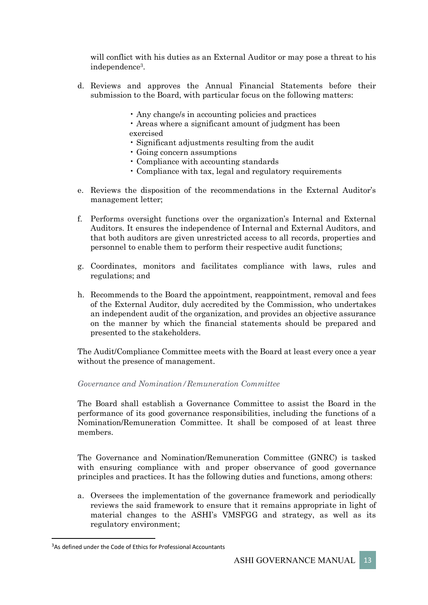will conflict with his duties as an External Auditor or may pose a threat to his independence3.

- d. Reviews and approves the Annual Financial Statements before their submission to the Board, with particular focus on the following matters:
	- Any change/s in accounting policies and practices
	- Areas where a significant amount of judgment has been exercised
	- Significant adjustments resulting from the audit
	- Going concern assumptions
	- Compliance with accounting standards
	- Compliance with tax, legal and regulatory requirements
- e. Reviews the disposition of the recommendations in the External Auditor's management letter;
- f. Performs oversight functions over the organization's Internal and External Auditors. It ensures the independence of Internal and External Auditors, and that both auditors are given unrestricted access to all records, properties and personnel to enable them to perform their respective audit functions;
- g. Coordinates, monitors and facilitates compliance with laws, rules and regulations; and
- h. Recommends to the Board the appointment, reappointment, removal and fees of the External Auditor, duly accredited by the Commission, who undertakes an independent audit of the organization, and provides an objective assurance on the manner by which the financial statements should be prepared and presented to the stakeholders.

The Audit/Compliance Committee meets with the Board at least every once a year without the presence of management.

## *Governance and Nomination/Remuneration Committee*

The Board shall establish a Governance Committee to assist the Board in the performance of its good governance responsibilities, including the functions of a Nomination/Remuneration Committee. It shall be composed of at least three members.

The Governance and Nomination/Remuneration Committee (GNRC) is tasked with ensuring compliance with and proper observance of good governance principles and practices. It has the following duties and functions, among others:

a. Oversees the implementation of the governance framework and periodically reviews the said framework to ensure that it remains appropriate in light of material changes to the ASHI's VMSFGG and strategy, as well as its regulatory environment;

<sup>-&</sup>lt;br>3 <sup>3</sup>As defined under the Code of Ethics for Professional Accountants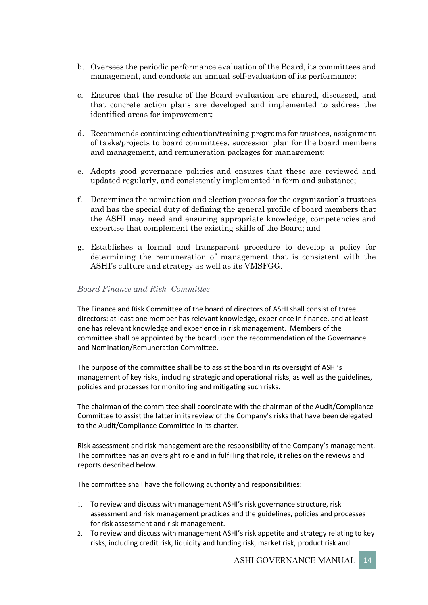- b. Oversees the periodic performance evaluation of the Board, its committees and management, and conducts an annual self-evaluation of its performance;
- c. Ensures that the results of the Board evaluation are shared, discussed, and that concrete action plans are developed and implemented to address the identified areas for improvement;
- d. Recommends continuing education/training programs for trustees, assignment of tasks/projects to board committees, succession plan for the board members and management, and remuneration packages for management;
- e. Adopts good governance policies and ensures that these are reviewed and updated regularly, and consistently implemented in form and substance;
- f. Determines the nomination and election process for the organization's trustees and has the special duty of defining the general profile of board members that the ASHI may need and ensuring appropriate knowledge, competencies and expertise that complement the existing skills of the Board; and
- g. Establishes a formal and transparent procedure to develop a policy for determining the remuneration of management that is consistent with the ASHI's culture and strategy as well as its VMSFGG.

#### *Board Finance and Risk Committee*

The Finance and Risk Committee of the board of directors of ASHI shall consist of three directors: at least one member has relevant knowledge, experience in finance, and at least one has relevant knowledge and experience in risk management. Members of the committee shall be appointed by the board upon the recommendation of the Governance and Nomination/Remuneration Committee.

The purpose of the committee shall be to assist the board in its oversight of ASHI's management of key risks, including strategic and operational risks, as well as the guidelines, policies and processes for monitoring and mitigating such risks.

The chairman of the committee shall coordinate with the chairman of the Audit/Compliance Committee to assist the latter in its review of the Company's risks that have been delegated to the Audit/Compliance Committee in its charter.

Risk assessment and risk management are the responsibility of the Company's management. The committee has an oversight role and in fulfilling that role, it relies on the reviews and reports described below.

The committee shall have the following authority and responsibilities:

- 1. To review and discuss with management ASHI's risk governance structure, risk assessment and risk management practices and the guidelines, policies and processes for risk assessment and risk management.
- 2. To review and discuss with management ASHI's risk appetite and strategy relating to key risks, including credit risk, liquidity and funding risk, market risk, product risk and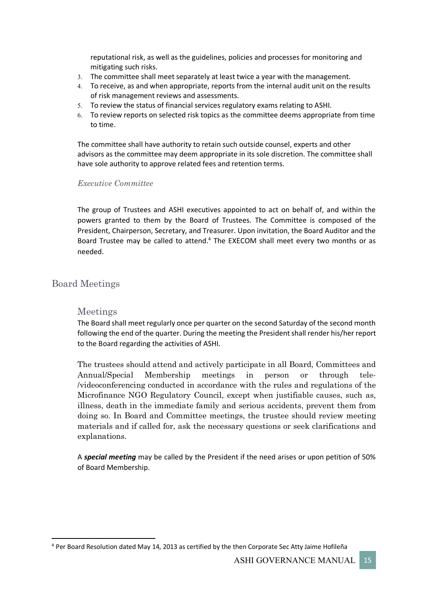reputational risk, as well as the guidelines, policies and processes for monitoring and mitigating such risks.

- 3. The committee shall meet separately at least twice a year with the management.
- 4. To receive, as and when appropriate, reports from the internal audit unit on the results of risk management reviews and assessments.
- 5. To review the status of financial services regulatory exams relating to ASHI.
- 6. To review reports on selected risk topics as the committee deems appropriate from time to time.

The committee shall have authority to retain such outside counsel, experts and other advisors as the committee may deem appropriate in its sole discretion. The committee shall have sole authority to approve related fees and retention terms.

## *Executive Committee*

The group of Trustees and ASHI executives appointed to act on behalf of, and within the powers granted to them by the Board of Trustees. The Committee is composed of the President, Chairperson, Secretary, and Treasurer. Upon invitation, the Board Auditor and the Board Trustee may be called to attend.<sup>4</sup> The EXECOM shall meet every two months or as needed.

# Board Meetings

## Meetings

The Board shall meet regularly once per quarter on the second Saturday of the second month following the end of the quarter. During the meeting the President shall render his/her report to the Board regarding the activities of ASHI.

The trustees should attend and actively participate in all Board, Committees and Annual/Special Membership meetings in person or through tele- /videoconferencing conducted in accordance with the rules and regulations of the Microfinance NGO Regulatory Council, except when justifiable causes, such as, illness, death in the immediate family and serious accidents, prevent them from doing so. In Board and Committee meetings, the trustee should review meeting materials and if called for, ask the necessary questions or seek clarifications and explanations.

A *special meeting* may be called by the President if the need arises or upon petition of 50% of Board Membership.

 <sup>4</sup> Per Board Resolution dated May 14, 2013 as certified by the then Corporate Sec Atty Jaime Hofileña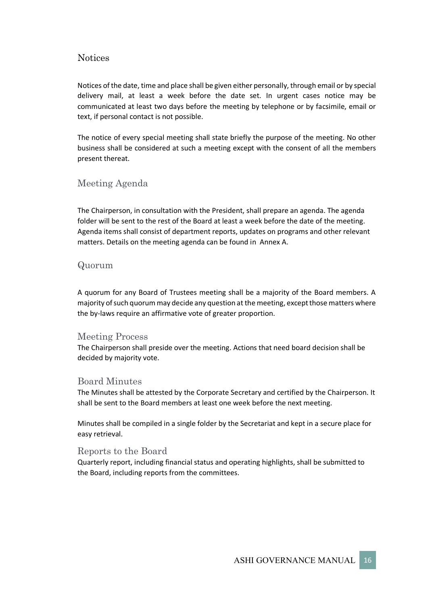# **Notices**

Notices of the date, time and place shall be given either personally, through email or by special delivery mail, at least a week before the date set. In urgent cases notice may be communicated at least two days before the meeting by telephone or by facsimile, email or text, if personal contact is not possible.

The notice of every special meeting shall state briefly the purpose of the meeting. No other business shall be considered at such a meeting except with the consent of all the members present thereat.

# Meeting Agenda

The Chairperson, in consultation with the President, shall prepare an agenda. The agenda folder will be sent to the rest of the Board at least a week before the date of the meeting. Agenda items shall consist of department reports, updates on programs and other relevant matters. Details on the meeting agenda can be found in Annex A.

# Quorum

A quorum for any Board of Trustees meeting shall be a majority of the Board members. A majority of such quorum may decide any question at the meeting, except those matters where the by-laws require an affirmative vote of greater proportion.

## Meeting Process

The Chairperson shall preside over the meeting. Actions that need board decision shall be decided by majority vote.

## Board Minutes

The Minutes shall be attested by the Corporate Secretary and certified by the Chairperson. It shall be sent to the Board members at least one week before the next meeting.

Minutes shall be compiled in a single folder by the Secretariat and kept in a secure place for easy retrieval.

## Reports to the Board

Quarterly report, including financial status and operating highlights, shall be submitted to the Board, including reports from the committees.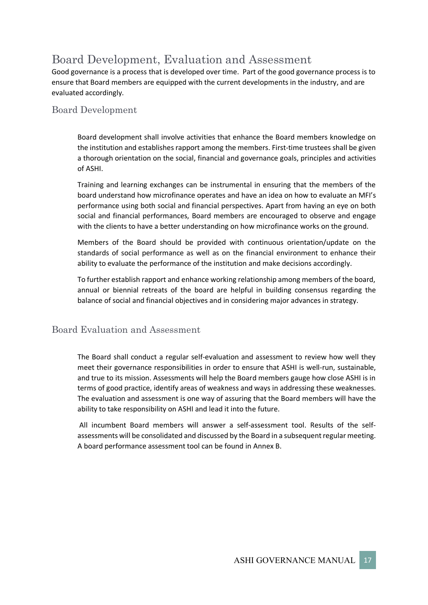# Board Development, Evaluation and Assessment

Good governance is a process that is developed over time. Part of the good governance process is to ensure that Board members are equipped with the current developments in the industry, and are evaluated accordingly.

# Board Development

Board development shall involve activities that enhance the Board members knowledge on the institution and establishes rapport among the members. First-time trustees shall be given a thorough orientation on the social, financial and governance goals, principles and activities of ASHI.

Training and learning exchanges can be instrumental in ensuring that the members of the board understand how microfinance operates and have an idea on how to evaluate an MFI's performance using both social and financial perspectives. Apart from having an eye on both social and financial performances, Board members are encouraged to observe and engage with the clients to have a better understanding on how microfinance works on the ground.

Members of the Board should be provided with continuous orientation/update on the standards of social performance as well as on the financial environment to enhance their ability to evaluate the performance of the institution and make decisions accordingly.

To further establish rapport and enhance working relationship among members of the board, annual or biennial retreats of the board are helpful in building consensus regarding the balance of social and financial objectives and in considering major advances in strategy.

# Board Evaluation and Assessment

The Board shall conduct a regular self-evaluation and assessment to review how well they meet their governance responsibilities in order to ensure that ASHI is well-run, sustainable, and true to its mission. Assessments will help the Board members gauge how close ASHI is in terms of good practice, identify areas of weakness and ways in addressing these weaknesses. The evaluation and assessment is one way of assuring that the Board members will have the ability to take responsibility on ASHI and lead it into the future.

All incumbent Board members will answer a self-assessment tool. Results of the selfassessments will be consolidated and discussed by the Board in a subsequent regular meeting. A board performance assessment tool can be found in Annex B.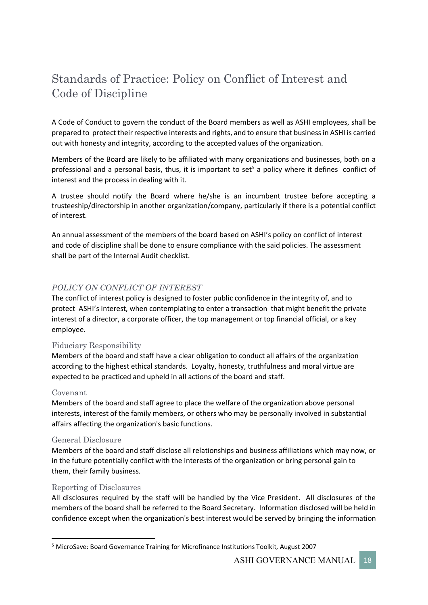# Standards of Practice: Policy on Conflict of Interest and Code of Discipline

A Code of Conduct to govern the conduct of the Board members as well as ASHI employees, shall be prepared to protect their respective interests and rights, and to ensure that business in ASHI is carried out with honesty and integrity, according to the accepted values of the organization.

Members of the Board are likely to be affiliated with many organizations and businesses, both on a professional and a personal basis, thus, it is important to set<sup>5</sup> a policy where it defines conflict of interest and the process in dealing with it.

A trustee should notify the Board where he/she is an incumbent trustee before accepting a trusteeship/directorship in another organization/company, particularly if there is a potential conflict of interest.

An annual assessment of the members of the board based on ASHI's policy on conflict of interest and code of discipline shall be done to ensure compliance with the said policies. The assessment shall be part of the Internal Audit checklist.

# *POLICY ON CONFLICT OF INTEREST*

The conflict of interest policy is designed to foster public confidence in the integrity of, and to protect ASHI's interest, when contemplating to enter a transaction that might benefit the private interest of a director, a corporate officer, the top management or top financial official, or a key employee.

## Fiduciary Responsibility

Members of the board and staff have a clear obligation to conduct all affairs of the organization according to the highest ethical standards. Loyalty, honesty, truthfulness and moral virtue are expected to be practiced and upheld in all actions of the board and staff.

#### Covenant

Members of the board and staff agree to place the welfare of the organization above personal interests, interest of the family members, or others who may be personally involved in substantial affairs affecting the organization's basic functions.

#### General Disclosure

Members of the board and staff disclose all relationships and business affiliations which may now, or in the future potentially conflict with the interests of the organization or bring personal gain to them, their family business.

#### Reporting of Disclosures

All disclosures required by the staff will be handled by the Vice President. All disclosures of the members of the board shall be referred to the Board Secretary. Information disclosed will be held in confidence except when the organization's best interest would be served by bringing the information

 <sup>5</sup> MicroSave: Board Governance Training for Microfinance Institutions Toolkit, August 2007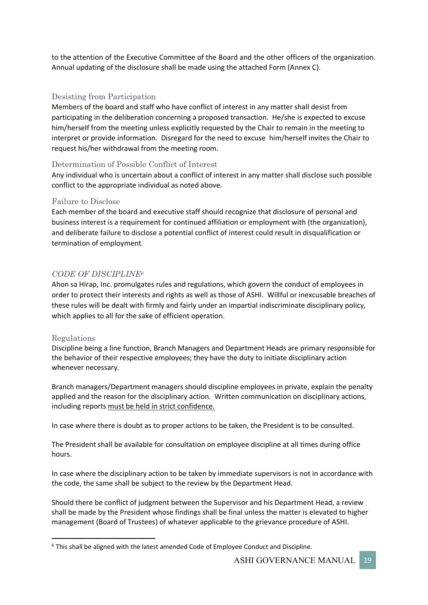to the attention of the Executive Committee of the Board and the other officers of the organization. Annual updating of the disclosure shall be made using the attached Form (Annex C).

## Desisting from Participation

Members of the board and staff who have conflict of interest in any matter shall desist from participating in the deliberation concerning a proposed transaction. He/she is expected to excuse him/herself from the meeting unless explicitly requested by the Chair to remain in the meeting to interpret or provide information. Disregard for the need to excuse him/herself invites the Chair to request his/her withdrawal from the meeting room.

#### Determination of Possible Conflict of Interest

Any individual who is uncertain about a conflict of interest in any matter shall disclose such possible conflict to the appropriate individual as noted above.

#### Failure to Disclose

Each member of the board and executive staff should recognize that disclosure of personal and business interest is a requirement for continued affiliation or employment with (the organization), and deliberate failure to disclose a potential conflict of interest could result in disqualification or termination of employment.

## *CODE OF DISCIPLINE6*

Ahon sa Hirap, Inc. promulgates rules and regulations, which govern the conduct of employees in order to protect their interests and rights as well as those of ASHI. Willful or inexcusable breaches of these rules will be dealt with firmly and fairly under an impartial indiscriminate disciplinary policy, which applies to all for the sake of efficient operation.

#### Regulations

Discipline being a line function, Branch Managers and Department Heads are primary responsible for the behavior of their respective employees; they have the duty to initiate disciplinary action whenever necessary.

Branch managers/Department managers should discipline employees in private, explain the penalty applied and the reason for the disciplinary action. Written communication on disciplinary actions, including reports must be held in strict confidence.

In case where there is doubt as to proper actions to be taken, the President is to be consulted.

The President shall be available for consultation on employee discipline at all times during office hours.

In case where the disciplinary action to be taken by immediate supervisors is not in accordance with the code, the same shall be subject to the review by the Department Head.

Should there be conflict of judgment between the Supervisor and his Department Head, a review shall be made by the President whose findings shall be final unless the matter is elevated to higher management (Board of Trustees) of whatever applicable to the grievance procedure of ASHI.

 $6$  This shall be aligned with the latest amended Code of Employee Conduct and Discipline.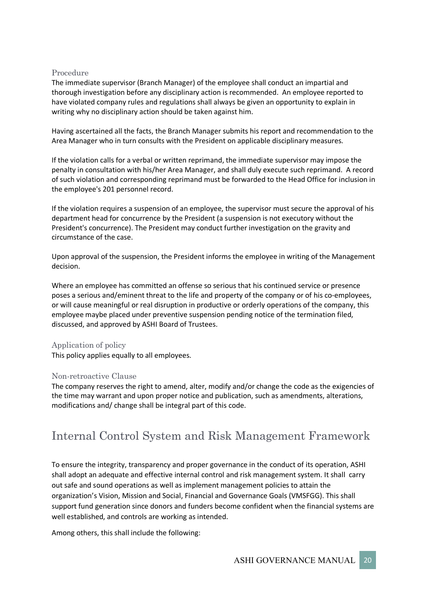#### Procedure

The immediate supervisor (Branch Manager) of the employee shall conduct an impartial and thorough investigation before any disciplinary action is recommended. An employee reported to have violated company rules and regulations shall always be given an opportunity to explain in writing why no disciplinary action should be taken against him.

Having ascertained all the facts, the Branch Manager submits his report and recommendation to the Area Manager who in turn consults with the President on applicable disciplinary measures.

If the violation calls for a verbal or written reprimand, the immediate supervisor may impose the penalty in consultation with his/her Area Manager, and shall duly execute such reprimand. A record of such violation and corresponding reprimand must be forwarded to the Head Office for inclusion in the employee's 201 personnel record.

If the violation requires a suspension of an employee, the supervisor must secure the approval of his department head for concurrence by the President (a suspension is not executory without the President's concurrence). The President may conduct further investigation on the gravity and circumstance of the case.

Upon approval of the suspension, the President informs the employee in writing of the Management decision.

Where an employee has committed an offense so serious that his continued service or presence poses a serious and/eminent threat to the life and property of the company or of his co-employees, or will cause meaningful or real disruption in productive or orderly operations of the company, this employee maybe placed under preventive suspension pending notice of the termination filed, discussed, and approved by ASHI Board of Trustees.

## Application of policy

This policy applies equally to all employees.

## Non-retroactive Clause

The company reserves the right to amend, alter, modify and/or change the code as the exigencies of the time may warrant and upon proper notice and publication, such as amendments, alterations, modifications and/ change shall be integral part of this code.

# Internal Control System and Risk Management Framework

To ensure the integrity, transparency and proper governance in the conduct of its operation, ASHI shall adopt an adequate and effective internal control and risk management system. It shall carry out safe and sound operations as well as implement management policies to attain the organization's Vision, Mission and Social, Financial and Governance Goals (VMSFGG). This shall support fund generation since donors and funders become confident when the financial systems are well established, and controls are working as intended.

Among others, this shall include the following: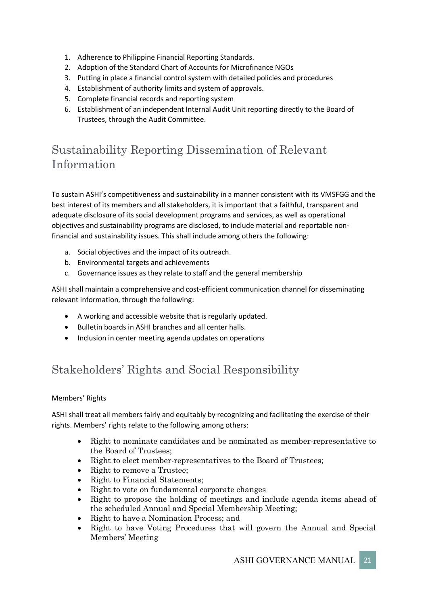- 1. Adherence to Philippine Financial Reporting Standards.
- 2. Adoption of the Standard Chart of Accounts for Microfinance NGOs
- 3. Putting in place a financial control system with detailed policies and procedures
- 4. Establishment of authority limits and system of approvals.
- 5. Complete financial records and reporting system
- 6. Establishment of an independent Internal Audit Unit reporting directly to the Board of Trustees, through the Audit Committee.

# Sustainability Reporting Dissemination of Relevant Information

To sustain ASHI's competitiveness and sustainability in a manner consistent with its VMSFGG and the best interest of its members and all stakeholders, it is important that a faithful, transparent and adequate disclosure of its social development programs and services, as well as operational objectives and sustainability programs are disclosed, to include material and reportable nonfinancial and sustainability issues. This shall include among others the following:

- a. Social objectives and the impact of its outreach.
- b. Environmental targets and achievements
- c. Governance issues as they relate to staff and the general membership

ASHI shall maintain a comprehensive and cost-efficient communication channel for disseminating relevant information, through the following:

- A working and accessible website that is regularly updated.
- Bulletin boards in ASHI branches and all center halls.
- Inclusion in center meeting agenda updates on operations

# Stakeholders' Rights and Social Responsibility

## Members' Rights

ASHI shall treat all members fairly and equitably by recognizing and facilitating the exercise of their rights. Members' rights relate to the following among others:

- Right to nominate candidates and be nominated as member-representative to the Board of Trustees;
- Right to elect member-representatives to the Board of Trustees;
- Right to remove a Trustee;
- Right to Financial Statements;
- Right to vote on fundamental corporate changes
- Right to propose the holding of meetings and include agenda items ahead of the scheduled Annual and Special Membership Meeting;
- Right to have a Nomination Process; and
- Right to have Voting Procedures that will govern the Annual and Special Members' Meeting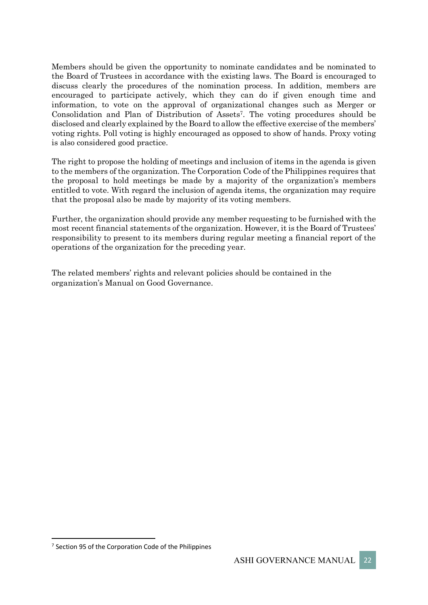Members should be given the opportunity to nominate candidates and be nominated to the Board of Trustees in accordance with the existing laws. The Board is encouraged to discuss clearly the procedures of the nomination process. In addition, members are encouraged to participate actively, which they can do if given enough time and information, to vote on the approval of organizational changes such as Merger or Consolidation and Plan of Distribution of Assets7. The voting procedures should be disclosed and clearly explained by the Board to allow the effective exercise of the members' voting rights. Poll voting is highly encouraged as opposed to show of hands. Proxy voting is also considered good practice.

The right to propose the holding of meetings and inclusion of items in the agenda is given to the members of the organization. The Corporation Code of the Philippines requires that the proposal to hold meetings be made by a majority of the organization's members entitled to vote. With regard the inclusion of agenda items, the organization may require that the proposal also be made by majority of its voting members.

Further, the organization should provide any member requesting to be furnished with the most recent financial statements of the organization. However, it is the Board of Trustees' responsibility to present to its members during regular meeting a financial report of the operations of the organization for the preceding year.

The related members' rights and relevant policies should be contained in the organization's Manual on Good Governance.

 $7$  Section 95 of the Corporation Code of the Philippines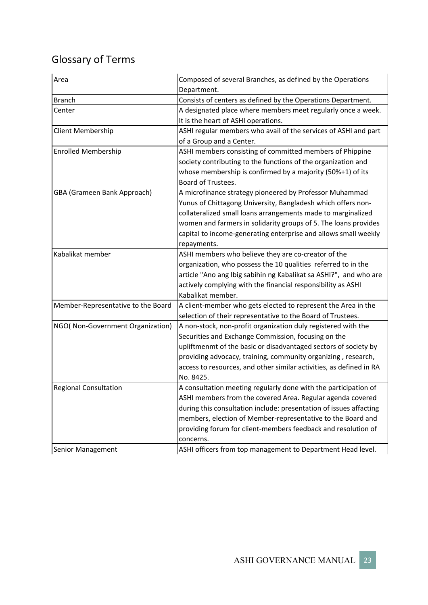# Glossary of Terms

| Area                               | Composed of several Branches, as defined by the Operations          |  |  |
|------------------------------------|---------------------------------------------------------------------|--|--|
|                                    | Department.                                                         |  |  |
| <b>Branch</b>                      | Consists of centers as defined by the Operations Department.        |  |  |
| Center                             | A designated place where members meet regularly once a week.        |  |  |
|                                    | It is the heart of ASHI operations.                                 |  |  |
| Client Membership                  | ASHI regular members who avail of the services of ASHI and part     |  |  |
|                                    | of a Group and a Center.                                            |  |  |
| <b>Enrolled Membership</b>         | ASHI members consisting of committed members of Phippine            |  |  |
|                                    | society contributing to the functions of the organization and       |  |  |
|                                    | whose membership is confirmed by a majority (50%+1) of its          |  |  |
|                                    | Board of Trustees.                                                  |  |  |
| GBA (Grameen Bank Approach)        | A microfinance strategy pioneered by Professor Muhammad             |  |  |
|                                    | Yunus of Chittagong University, Bangladesh which offers non-        |  |  |
|                                    | collateralized small loans arrangements made to marginalized        |  |  |
|                                    | women and farmers in solidarity groups of 5. The loans provides     |  |  |
|                                    | capital to income-generating enterprise and allows small weekly     |  |  |
|                                    | repayments.                                                         |  |  |
| Kabalikat member                   | ASHI members who believe they are co-creator of the                 |  |  |
|                                    | organization, who possess the 10 qualities referred to in the       |  |  |
|                                    | article "Ano ang Ibig sabihin ng Kabalikat sa ASHI?", and who are   |  |  |
|                                    | actively complying with the financial responsibility as ASHI        |  |  |
|                                    | Kabalikat member.                                                   |  |  |
| Member-Representative to the Board | A client-member who gets elected to represent the Area in the       |  |  |
|                                    | selection of their representative to the Board of Trustees.         |  |  |
| NGO(Non-Government Organization)   | A non-stock, non-profit organization duly registered with the       |  |  |
|                                    | Securities and Exchange Commission, focusing on the                 |  |  |
|                                    | upliftmenmt of the basic or disadvantaged sectors of society by     |  |  |
|                                    | providing advocacy, training, community organizing, research,       |  |  |
|                                    | access to resources, and other similar activities, as defined in RA |  |  |
|                                    | No. 8425.                                                           |  |  |
| <b>Regional Consultation</b>       | A consultation meeting regularly done with the participation of     |  |  |
|                                    | ASHI members from the covered Area. Regular agenda covered          |  |  |
|                                    | during this consultation include: presentation of issues affacting  |  |  |
|                                    | members, election of Member-representative to the Board and         |  |  |
|                                    | providing forum for client-members feedback and resolution of       |  |  |
|                                    | concerns.                                                           |  |  |
| Senior Management                  | ASHI officers from top management to Department Head level.         |  |  |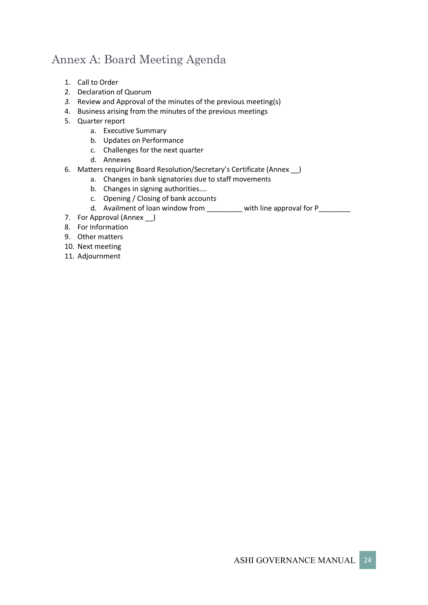# Annex A: Board Meeting Agenda

- 1. Call to Order
- 2. Declaration of Quorum
- *3.* Review and Approval of the minutes of the previous meeting(s)
- 4. Business arising from the minutes of the previous meetings
- 5. Quarter report
	- a. Executive Summary
		- b. Updates on Performance
		- c. Challenges for the next quarter
		- d. Annexes
- 6. Matters requiring Board Resolution/Secretary's Certificate (Annex \_\_)
	- a. Changes in bank signatories due to staff movements
	- b. Changes in signing authorities….
	- c. Opening / Closing of bank accounts
	- d. Availment of loan window from \_\_\_\_\_\_\_ with line approval for P\_\_\_\_\_\_\_
- 7. For Approval (Annex \_)
- 8. For Information
- 9. Other matters
- 10. Next meeting
- 11. Adjournment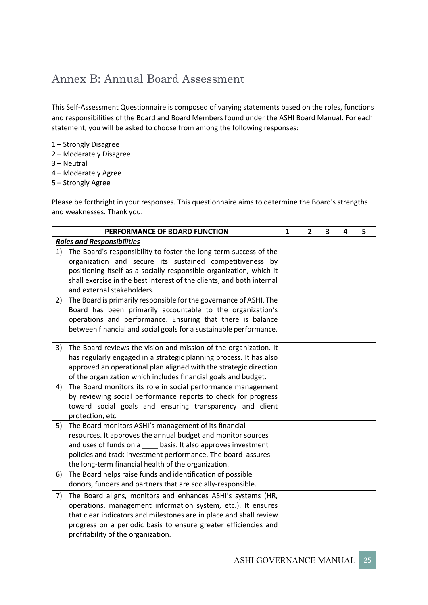# Annex B: Annual Board Assessment

This Self-Assessment Questionnaire is composed of varying statements based on the roles, functions and responsibilities of the Board and Board Members found under the ASHI Board Manual. For each statement, you will be asked to choose from among the following responses:

- 1 Strongly Disagree
- 2 Moderately Disagree
- 3 Neutral
- 4 Moderately Agree
- 5 Strongly Agree

Please be forthright in your responses. This questionnaire aims to determine the Board's strengths and weaknesses. Thank you.

| PERFORMANCE OF BOARD FUNCTION                                         |                                                                                                                                                                                                                                                                                                                                                                                                                                                                                                                                                                                                                                                                                                                                                                                                                                                                                                                                                                                                                                                                                                                                                                                                                                                                                                                                                                                                                                                                                                                                                                                                        | 2 | 3 | 4 | 5 |
|-----------------------------------------------------------------------|--------------------------------------------------------------------------------------------------------------------------------------------------------------------------------------------------------------------------------------------------------------------------------------------------------------------------------------------------------------------------------------------------------------------------------------------------------------------------------------------------------------------------------------------------------------------------------------------------------------------------------------------------------------------------------------------------------------------------------------------------------------------------------------------------------------------------------------------------------------------------------------------------------------------------------------------------------------------------------------------------------------------------------------------------------------------------------------------------------------------------------------------------------------------------------------------------------------------------------------------------------------------------------------------------------------------------------------------------------------------------------------------------------------------------------------------------------------------------------------------------------------------------------------------------------------------------------------------------------|---|---|---|---|
|                                                                       |                                                                                                                                                                                                                                                                                                                                                                                                                                                                                                                                                                                                                                                                                                                                                                                                                                                                                                                                                                                                                                                                                                                                                                                                                                                                                                                                                                                                                                                                                                                                                                                                        |   |   |   |   |
| The Board's responsibility to foster the long-term success of the     |                                                                                                                                                                                                                                                                                                                                                                                                                                                                                                                                                                                                                                                                                                                                                                                                                                                                                                                                                                                                                                                                                                                                                                                                                                                                                                                                                                                                                                                                                                                                                                                                        |   |   |   |   |
| organization and secure its sustained competitiveness by              |                                                                                                                                                                                                                                                                                                                                                                                                                                                                                                                                                                                                                                                                                                                                                                                                                                                                                                                                                                                                                                                                                                                                                                                                                                                                                                                                                                                                                                                                                                                                                                                                        |   |   |   |   |
| positioning itself as a socially responsible organization, which it   |                                                                                                                                                                                                                                                                                                                                                                                                                                                                                                                                                                                                                                                                                                                                                                                                                                                                                                                                                                                                                                                                                                                                                                                                                                                                                                                                                                                                                                                                                                                                                                                                        |   |   |   |   |
| shall exercise in the best interest of the clients, and both internal |                                                                                                                                                                                                                                                                                                                                                                                                                                                                                                                                                                                                                                                                                                                                                                                                                                                                                                                                                                                                                                                                                                                                                                                                                                                                                                                                                                                                                                                                                                                                                                                                        |   |   |   |   |
|                                                                       |                                                                                                                                                                                                                                                                                                                                                                                                                                                                                                                                                                                                                                                                                                                                                                                                                                                                                                                                                                                                                                                                                                                                                                                                                                                                                                                                                                                                                                                                                                                                                                                                        |   |   |   |   |
|                                                                       |                                                                                                                                                                                                                                                                                                                                                                                                                                                                                                                                                                                                                                                                                                                                                                                                                                                                                                                                                                                                                                                                                                                                                                                                                                                                                                                                                                                                                                                                                                                                                                                                        |   |   |   |   |
|                                                                       |                                                                                                                                                                                                                                                                                                                                                                                                                                                                                                                                                                                                                                                                                                                                                                                                                                                                                                                                                                                                                                                                                                                                                                                                                                                                                                                                                                                                                                                                                                                                                                                                        |   |   |   |   |
|                                                                       |                                                                                                                                                                                                                                                                                                                                                                                                                                                                                                                                                                                                                                                                                                                                                                                                                                                                                                                                                                                                                                                                                                                                                                                                                                                                                                                                                                                                                                                                                                                                                                                                        |   |   |   |   |
|                                                                       |                                                                                                                                                                                                                                                                                                                                                                                                                                                                                                                                                                                                                                                                                                                                                                                                                                                                                                                                                                                                                                                                                                                                                                                                                                                                                                                                                                                                                                                                                                                                                                                                        |   |   |   |   |
|                                                                       |                                                                                                                                                                                                                                                                                                                                                                                                                                                                                                                                                                                                                                                                                                                                                                                                                                                                                                                                                                                                                                                                                                                                                                                                                                                                                                                                                                                                                                                                                                                                                                                                        |   |   |   |   |
|                                                                       |                                                                                                                                                                                                                                                                                                                                                                                                                                                                                                                                                                                                                                                                                                                                                                                                                                                                                                                                                                                                                                                                                                                                                                                                                                                                                                                                                                                                                                                                                                                                                                                                        |   |   |   |   |
|                                                                       |                                                                                                                                                                                                                                                                                                                                                                                                                                                                                                                                                                                                                                                                                                                                                                                                                                                                                                                                                                                                                                                                                                                                                                                                                                                                                                                                                                                                                                                                                                                                                                                                        |   |   |   |   |
|                                                                       |                                                                                                                                                                                                                                                                                                                                                                                                                                                                                                                                                                                                                                                                                                                                                                                                                                                                                                                                                                                                                                                                                                                                                                                                                                                                                                                                                                                                                                                                                                                                                                                                        |   |   |   |   |
|                                                                       |                                                                                                                                                                                                                                                                                                                                                                                                                                                                                                                                                                                                                                                                                                                                                                                                                                                                                                                                                                                                                                                                                                                                                                                                                                                                                                                                                                                                                                                                                                                                                                                                        |   |   |   |   |
|                                                                       |                                                                                                                                                                                                                                                                                                                                                                                                                                                                                                                                                                                                                                                                                                                                                                                                                                                                                                                                                                                                                                                                                                                                                                                                                                                                                                                                                                                                                                                                                                                                                                                                        |   |   |   |   |
|                                                                       |                                                                                                                                                                                                                                                                                                                                                                                                                                                                                                                                                                                                                                                                                                                                                                                                                                                                                                                                                                                                                                                                                                                                                                                                                                                                                                                                                                                                                                                                                                                                                                                                        |   |   |   |   |
|                                                                       |                                                                                                                                                                                                                                                                                                                                                                                                                                                                                                                                                                                                                                                                                                                                                                                                                                                                                                                                                                                                                                                                                                                                                                                                                                                                                                                                                                                                                                                                                                                                                                                                        |   |   |   |   |
|                                                                       |                                                                                                                                                                                                                                                                                                                                                                                                                                                                                                                                                                                                                                                                                                                                                                                                                                                                                                                                                                                                                                                                                                                                                                                                                                                                                                                                                                                                                                                                                                                                                                                                        |   |   |   |   |
|                                                                       |                                                                                                                                                                                                                                                                                                                                                                                                                                                                                                                                                                                                                                                                                                                                                                                                                                                                                                                                                                                                                                                                                                                                                                                                                                                                                                                                                                                                                                                                                                                                                                                                        |   |   |   |   |
|                                                                       |                                                                                                                                                                                                                                                                                                                                                                                                                                                                                                                                                                                                                                                                                                                                                                                                                                                                                                                                                                                                                                                                                                                                                                                                                                                                                                                                                                                                                                                                                                                                                                                                        |   |   |   |   |
|                                                                       |                                                                                                                                                                                                                                                                                                                                                                                                                                                                                                                                                                                                                                                                                                                                                                                                                                                                                                                                                                                                                                                                                                                                                                                                                                                                                                                                                                                                                                                                                                                                                                                                        |   |   |   |   |
|                                                                       |                                                                                                                                                                                                                                                                                                                                                                                                                                                                                                                                                                                                                                                                                                                                                                                                                                                                                                                                                                                                                                                                                                                                                                                                                                                                                                                                                                                                                                                                                                                                                                                                        |   |   |   |   |
|                                                                       |                                                                                                                                                                                                                                                                                                                                                                                                                                                                                                                                                                                                                                                                                                                                                                                                                                                                                                                                                                                                                                                                                                                                                                                                                                                                                                                                                                                                                                                                                                                                                                                                        |   |   |   |   |
|                                                                       |                                                                                                                                                                                                                                                                                                                                                                                                                                                                                                                                                                                                                                                                                                                                                                                                                                                                                                                                                                                                                                                                                                                                                                                                                                                                                                                                                                                                                                                                                                                                                                                                        |   |   |   |   |
|                                                                       |                                                                                                                                                                                                                                                                                                                                                                                                                                                                                                                                                                                                                                                                                                                                                                                                                                                                                                                                                                                                                                                                                                                                                                                                                                                                                                                                                                                                                                                                                                                                                                                                        |   |   |   |   |
|                                                                       |                                                                                                                                                                                                                                                                                                                                                                                                                                                                                                                                                                                                                                                                                                                                                                                                                                                                                                                                                                                                                                                                                                                                                                                                                                                                                                                                                                                                                                                                                                                                                                                                        |   |   |   |   |
|                                                                       |                                                                                                                                                                                                                                                                                                                                                                                                                                                                                                                                                                                                                                                                                                                                                                                                                                                                                                                                                                                                                                                                                                                                                                                                                                                                                                                                                                                                                                                                                                                                                                                                        |   |   |   |   |
|                                                                       |                                                                                                                                                                                                                                                                                                                                                                                                                                                                                                                                                                                                                                                                                                                                                                                                                                                                                                                                                                                                                                                                                                                                                                                                                                                                                                                                                                                                                                                                                                                                                                                                        |   |   |   |   |
|                                                                       |                                                                                                                                                                                                                                                                                                                                                                                                                                                                                                                                                                                                                                                                                                                                                                                                                                                                                                                                                                                                                                                                                                                                                                                                                                                                                                                                                                                                                                                                                                                                                                                                        |   |   |   |   |
|                                                                       | <b>Roles and Responsibilities</b><br>and external stakeholders.<br>The Board is primarily responsible for the governance of ASHI. The<br>Board has been primarily accountable to the organization's<br>operations and performance. Ensuring that there is balance<br>between financial and social goals for a sustainable performance.<br>The Board reviews the vision and mission of the organization. It<br>has regularly engaged in a strategic planning process. It has also<br>approved an operational plan aligned with the strategic direction<br>of the organization which includes financial goals and budget.<br>The Board monitors its role in social performance management<br>by reviewing social performance reports to check for progress<br>toward social goals and ensuring transparency and client<br>protection, etc.<br>The Board monitors ASHI's management of its financial<br>resources. It approves the annual budget and monitor sources<br>and uses of funds on a _____ basis. It also approves investment<br>policies and track investment performance. The board assures<br>the long-term financial health of the organization.<br>The Board helps raise funds and identification of possible<br>donors, funders and partners that are socially-responsible.<br>The Board aligns, monitors and enhances ASHI's systems (HR,<br>operations, management information system, etc.). It ensures<br>that clear indicators and milestones are in place and shall review<br>progress on a periodic basis to ensure greater efficiencies and<br>profitability of the organization. | 1 |   |   |   |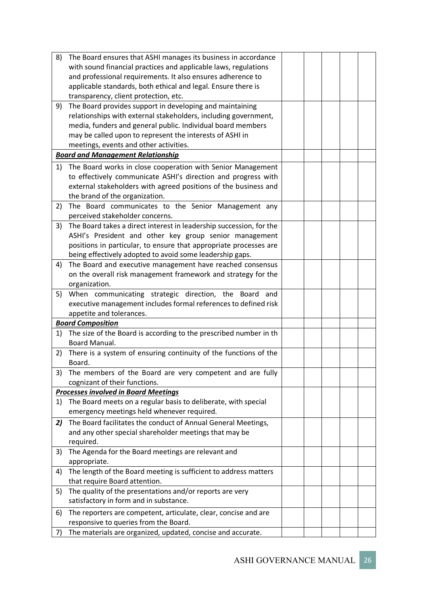| 8) | The Board ensures that ASHI manages its business in accordance       |  |  |  |
|----|----------------------------------------------------------------------|--|--|--|
|    | with sound financial practices and applicable laws, regulations      |  |  |  |
|    | and professional requirements. It also ensures adherence to          |  |  |  |
|    | applicable standards, both ethical and legal. Ensure there is        |  |  |  |
|    | transparency, client protection, etc.                                |  |  |  |
| 9) | The Board provides support in developing and maintaining             |  |  |  |
|    | relationships with external stakeholders, including government,      |  |  |  |
|    | media, funders and general public. Individual board members          |  |  |  |
|    | may be called upon to represent the interests of ASHI in             |  |  |  |
|    | meetings, events and other activities.                               |  |  |  |
|    | <b>Board and Management Relationship</b>                             |  |  |  |
|    |                                                                      |  |  |  |
| 1) | The Board works in close cooperation with Senior Management          |  |  |  |
|    | to effectively communicate ASHI's direction and progress with        |  |  |  |
|    | external stakeholders with agreed positions of the business and      |  |  |  |
|    | the brand of the organization.                                       |  |  |  |
| 2) | The Board communicates to the Senior Management any                  |  |  |  |
|    | perceived stakeholder concerns.                                      |  |  |  |
| 3) | The Board takes a direct interest in leadership succession, for the  |  |  |  |
|    | ASHI's President and other key group senior management               |  |  |  |
|    | positions in particular, to ensure that appropriate processes are    |  |  |  |
|    | being effectively adopted to avoid some leadership gaps.             |  |  |  |
| 4) | The Board and executive management have reached consensus            |  |  |  |
|    | on the overall risk management framework and strategy for the        |  |  |  |
|    | organization.                                                        |  |  |  |
| 5) | When communicating strategic direction, the Board<br>and             |  |  |  |
|    | executive management includes formal references to defined risk      |  |  |  |
|    | appetite and tolerances.                                             |  |  |  |
|    | <b>Board Composition</b>                                             |  |  |  |
|    |                                                                      |  |  |  |
|    | 1) The size of the Board is according to the prescribed number in th |  |  |  |
|    | Board Manual.                                                        |  |  |  |
| 2) | There is a system of ensuring continuity of the functions of the     |  |  |  |
|    | Board.                                                               |  |  |  |
|    | 3) The members of the Board are very competent and are fully         |  |  |  |
|    | cognizant of their functions.                                        |  |  |  |
|    | <b>Processes involved in Board Meetings</b>                          |  |  |  |
| 1) | The Board meets on a regular basis to deliberate, with special       |  |  |  |
|    | emergency meetings held whenever required.                           |  |  |  |
| 2) | The Board facilitates the conduct of Annual General Meetings,        |  |  |  |
|    | and any other special shareholder meetings that may be               |  |  |  |
|    | required.                                                            |  |  |  |
| 3) | The Agenda for the Board meetings are relevant and                   |  |  |  |
|    | appropriate.                                                         |  |  |  |
| 4) | The length of the Board meeting is sufficient to address matters     |  |  |  |
|    | that require Board attention.                                        |  |  |  |
|    |                                                                      |  |  |  |
| 5) | The quality of the presentations and/or reports are very             |  |  |  |
|    | satisfactory in form and in substance.                               |  |  |  |
| 6) | The reporters are competent, articulate, clear, concise and are      |  |  |  |
|    | responsive to queries from the Board.                                |  |  |  |
| 7) | The materials are organized, updated, concise and accurate.          |  |  |  |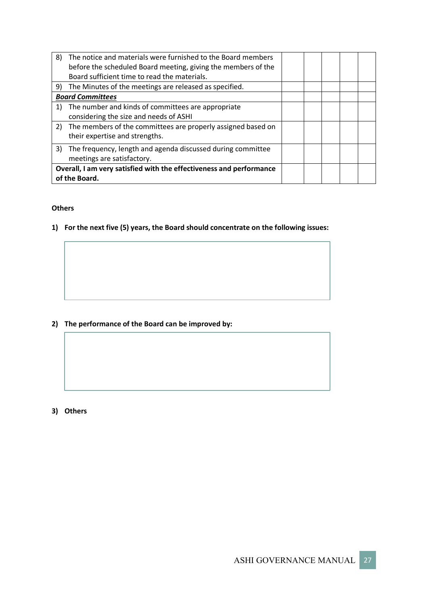| 8)                      | The notice and materials were furnished to the Board members<br>before the scheduled Board meeting, giving the members of the<br>Board sufficient time to read the materials. |  |  |  |  |  |
|-------------------------|-------------------------------------------------------------------------------------------------------------------------------------------------------------------------------|--|--|--|--|--|
| 9)                      | The Minutes of the meetings are released as specified.                                                                                                                        |  |  |  |  |  |
| <b>Board Committees</b> |                                                                                                                                                                               |  |  |  |  |  |
| 1)                      | The number and kinds of committees are appropriate<br>considering the size and needs of ASHI                                                                                  |  |  |  |  |  |
|                         | 2) The members of the committees are properly assigned based on<br>their expertise and strengths.                                                                             |  |  |  |  |  |
| 3)                      | The frequency, length and agenda discussed during committee<br>meetings are satisfactory.                                                                                     |  |  |  |  |  |
|                         | Overall, I am very satisfied with the effectiveness and performance<br>of the Board.                                                                                          |  |  |  |  |  |

#### **Others**

**1) For the next five (5) years, the Board should concentrate on the following issues:**

# **2) The performance of the Board can be improved by:**

**3) Others**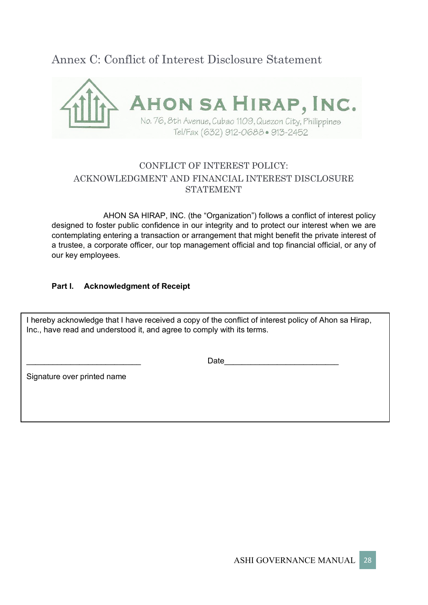# Annex C: Conflict of Interest Disclosure Statement



# CONFLICT OF INTEREST POLICY: ACKNOWLEDGMENT AND FINANCIAL INTEREST DISCLOSURE STATEMENT

AHON SA HIRAP, INC. (the "Organization") follows a conflict of interest policy designed to foster public confidence in our integrity and to protect our interest when we are contemplating entering a transaction or arrangement that might benefit the private interest of a trustee, a corporate officer, our top management official and top financial official, or any of our key employees.

# **Part I. Acknowledgment of Receipt**

I hereby acknowledge that I have received a copy of the conflict of interest policy of Ahon sa Hirap, Inc., have read and understood it, and agree to comply with its terms.

\_\_\_\_\_\_\_\_\_\_\_\_\_\_\_\_\_\_\_\_\_\_\_\_\_\_ Date\_\_\_\_\_\_\_\_\_\_\_\_\_\_\_\_\_\_\_\_\_\_\_\_\_\_

Signature over printed name